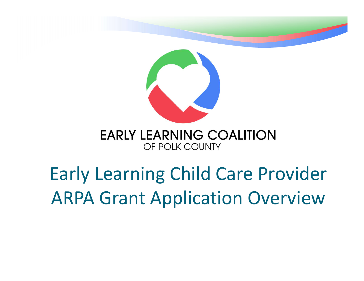

#### Early Learning Child Care Provider ARPA Grant Application Overview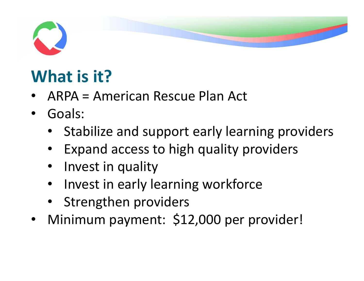

#### What is it?

- ARPA = American Rescue Plan Act
- Goals:
	- Stabilize and support early learning providers
	- Expand access to high quality providers
	- Invest in quality
	- Invest in early learning workforce
	- Strengthen providers
- Minimum payment: \$12,000 per provider!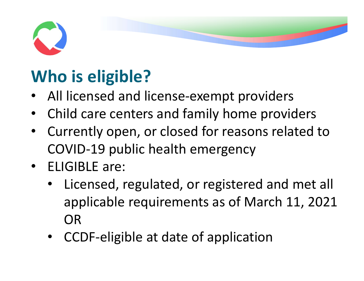

#### Who is eligible?

- All licensed and license-exempt providers
- Child care centers and family home providers
- Currently open, or closed for reasons related to COVID-19 public health emergency
- ELIGIBLE are:
	- Licensed, regulated, or registered and met all applicable requirements as of March 11, 2021 OR
	- CCDF-eligible at date of application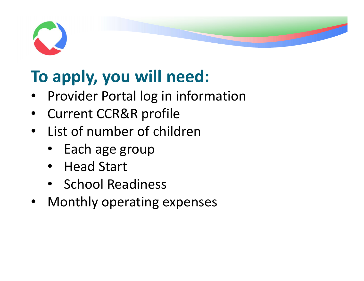

#### To apply, you will need:

- Provider Portal log in information
- Current CCR&R profile
- List of number of children
	- Each age group
	- Head Start
	- School Readiness
- Monthly operating expenses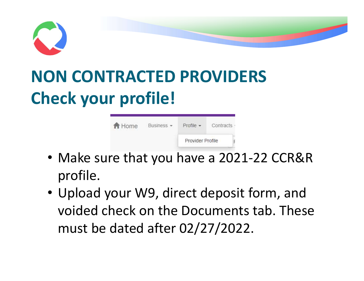

#### NON CONTRACTED PROVIDERS Check your profile!

| A Home | Business - | $Profile -$      | Contracts |  |  |
|--------|------------|------------------|-----------|--|--|
|        |            | Provider Profile |           |  |  |

- Make sure that you have a 2021-22 CCR&R profile.
- Upload your W9, direct deposit form, and voided check on the Documents tab. These must be dated after 02/27/2022.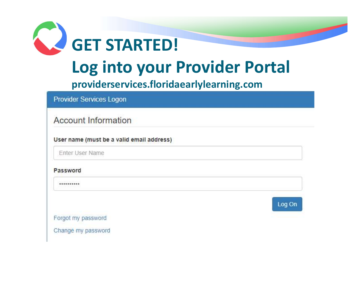

Password

\*\*\*\*\*\*\*\*\*\*



Forgot my password

Change my password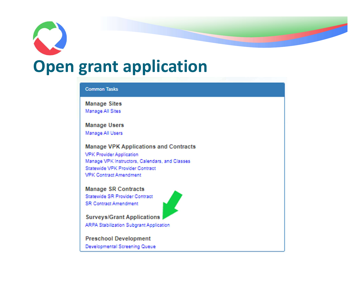

the state of the state of

### Open grant application

#### **Common Tasks**

**Manage Sites** Manage All Sites

**Manage Users** Manage All Users

**Manage VPK Applications and Contracts VPK Provider Application** Manage VPK Instructors, Calendars, and Classes Statewide VPK Provider Contract **VPK Contract Amendment** 

**Manage SR Contracts** Statewide SR Provider Contract **SR Contract Amendment** 

**Surveys/Grant Applications** ARPA Stabilization Subgrant Application

**Preschool Development** Developmental Screening Queue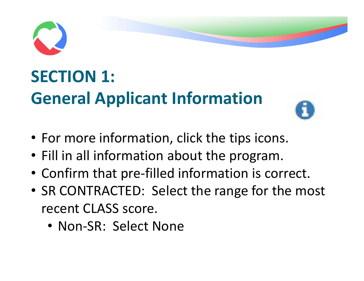

#### SECTION 1: General Applicant Information



- For more information, click the tips icons.
- Fill in all information about the program.
- Confirm that pre-filled information is correct.
- SR CONTRACTED: Select the range for the most recent CLASS score.
	- Non-SR: Select None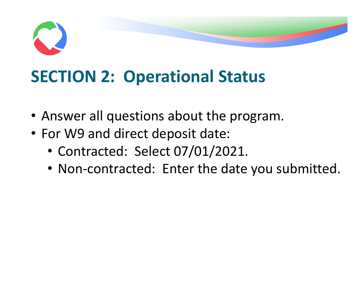

#### SECTION 2: Operational Status

- Answer all questions about the program.
- For W9 and direct deposit date:
	- Contracted: Select 07/01/2021.
	- Non-contracted: Enter the date you submitted.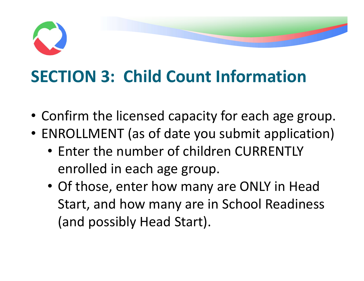# SECTION 3: Child Count Information

- Confirm the licensed capacity for each age group.
- ENROLLMENT (as of date you submit application)
	- Enter the number of children CURRENTLY enrolled in each age group.
	- Of those, enter how many are ONLY in Head Start, and how many are in School Readiness (and possibly Head Start).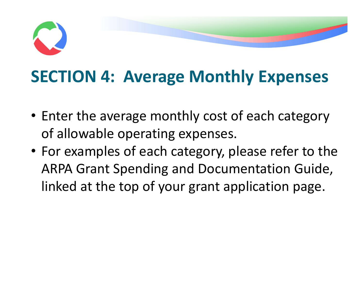# SECTION 4: Average Monthly Expenses

- Enter the average monthly cost of each category of allowable operating expenses.
- For examples of each category, please refer to the ARPA Grant Spending and Documentation Guide, linked at the top of your grant application page.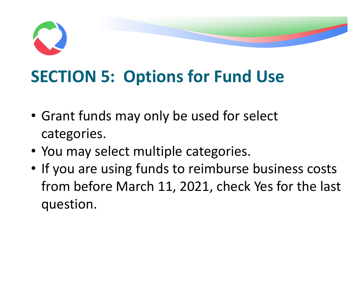

#### SECTION 5: Options for Fund Use

- Grant funds may only be used for select categories.
- You may select multiple categories.
- If you are using funds to reimburse business costs from before March 11, 2021, check Yes for the last question.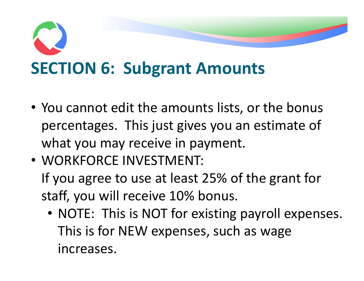

- You cannot edit the amounts lists, or the bonus percentages. This just gives you an estimate of what you may receive in payment.
- WORKFORCE INVESTMENT: If you agree to use at least 25% of the grant for staff, you will receive 10% bonus.
	- NOTE: This is NOT for existing payroll expenses. This is for NEW expenses, such as wage increases.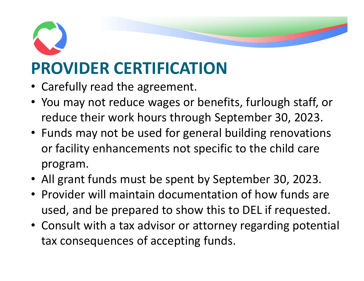### PROVIDER CERTIFICATION

- Carefully read the agreement.
- You may not reduce wages or benefits, furlough staff, or reduce their work hours through September 30, 2023.
- Funds may not be used for general building renovations or facility enhancements not specific to the child care program.
- All grant funds must be spent by September 30, 2023.
- Provider will maintain documentation of how funds are used, and be prepared to show this to DEL if requested.
- Consult with a tax advisor or attorney regarding potential tax consequences of accepting funds.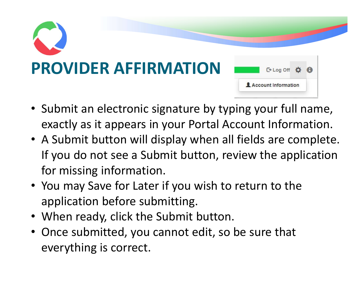

- Submit an electronic signature by typing your full name, exactly as it appears in your Portal Account Information.
- A Submit button will display when all fields are complete. If you do not see a Submit button, review the application for missing information.
- You may Save for Later if you wish to return to the application before submitting.
- When ready, click the Submit button.
- Once submitted, you cannot edit, so be sure that everything is correct.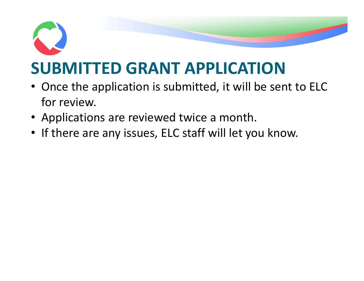

#### • Once the application is submitted, it will be sent to ELC

- for review.
- Applications are reviewed twice a month.
- If there are any issues, ELC staff will let you know.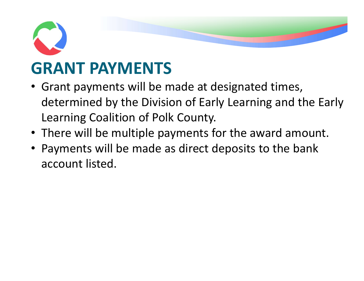## GRANT PAYMENTS

- Grant payments will be made at designated times, determined by the Division of Early Learning and the Early Learning Coalition of Polk County.
- There will be multiple payments for the award amount.
- Payments will be made as direct deposits to the bank account listed.